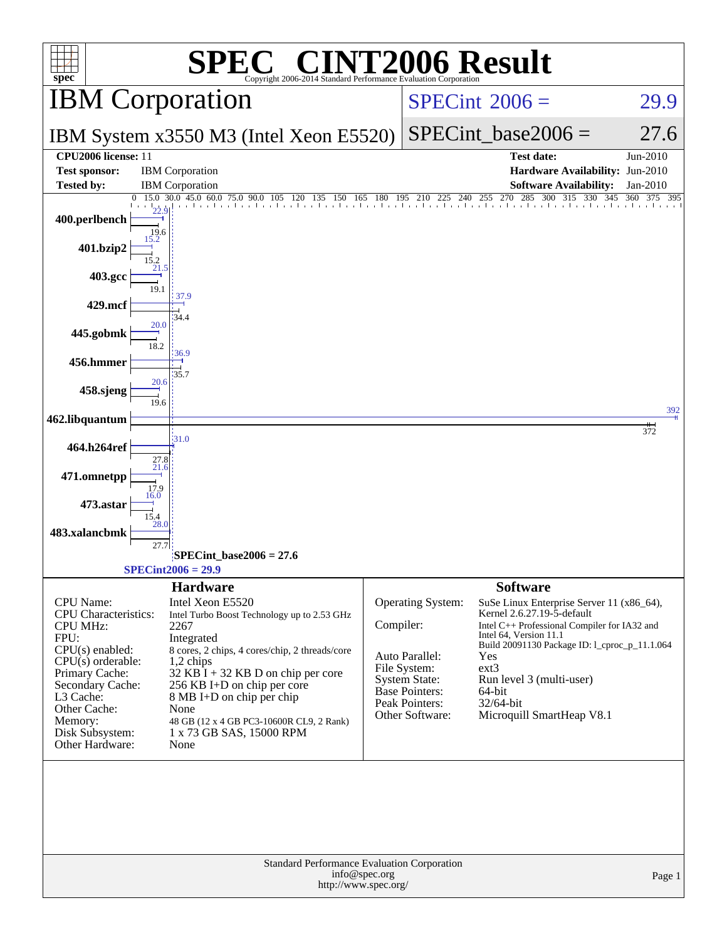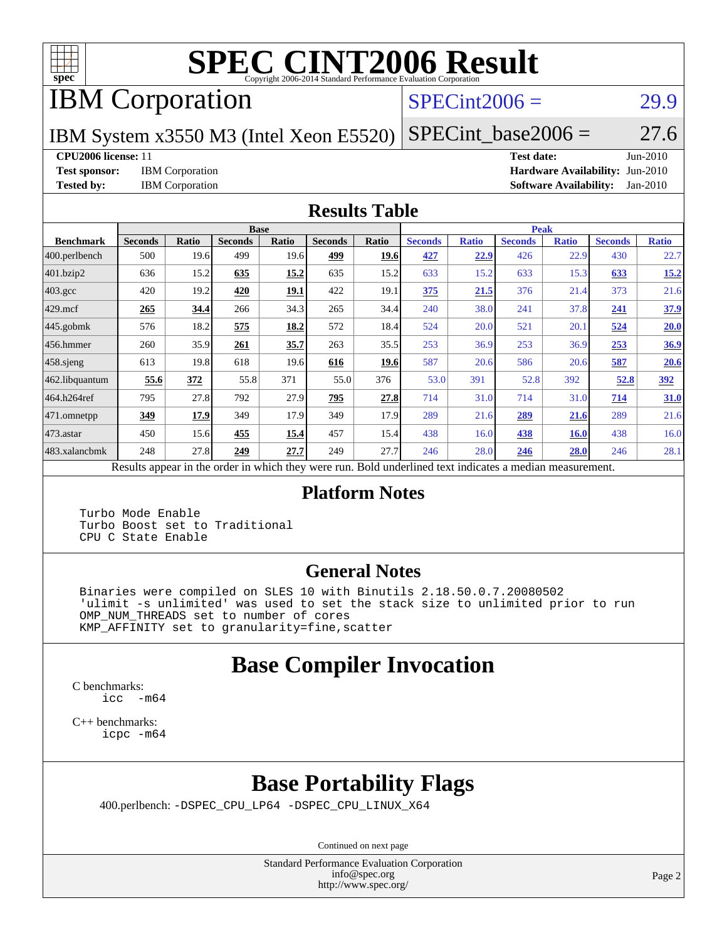

# **[SPEC CINT2006 Result](http://www.spec.org/auto/cpu2006/Docs/result-fields.html#SPECCINT2006Result)**

IBM Corporation

#### $SPECint2006 =$  29.9

IBM System x3550 M3 (Intel Xeon E5520)

 $SPECTnt\_base2006 = 27.6$ 

#### **[CPU2006 license:](http://www.spec.org/auto/cpu2006/Docs/result-fields.html#CPU2006license)** 11 **[Test date:](http://www.spec.org/auto/cpu2006/Docs/result-fields.html#Testdate)** Jun-2010

**[Test sponsor:](http://www.spec.org/auto/cpu2006/Docs/result-fields.html#Testsponsor)** IBM Corporation **[Hardware Availability:](http://www.spec.org/auto/cpu2006/Docs/result-fields.html#HardwareAvailability)** Jun-2010 **[Tested by:](http://www.spec.org/auto/cpu2006/Docs/result-fields.html#Testedby)** IBM Corporation **[Software Availability:](http://www.spec.org/auto/cpu2006/Docs/result-fields.html#SoftwareAvailability)** Jan-2010

#### **[Results Table](http://www.spec.org/auto/cpu2006/Docs/result-fields.html#ResultsTable)**

|                  |                                                   |       | <b>Base</b>    |             |                |       |                |              | <b>Peak</b>                                                |              |                |              |
|------------------|---------------------------------------------------|-------|----------------|-------------|----------------|-------|----------------|--------------|------------------------------------------------------------|--------------|----------------|--------------|
| <b>Benchmark</b> | <b>Seconds</b>                                    | Ratio | <b>Seconds</b> | Ratio       | <b>Seconds</b> | Ratio | <b>Seconds</b> | <b>Ratio</b> | <b>Seconds</b>                                             | <b>Ratio</b> | <b>Seconds</b> | <b>Ratio</b> |
| 400.perlbench    | 500                                               | 19.6  | 499            | 19.6        | 499            | 19.6  | 427            | 22.9         | 426                                                        | 22.9         | 430            | 22.7         |
| 401.bzip2        | 636                                               | 15.2  | 635            | 15.2        | 635            | 15.2  | 633            | 15.2         | 633                                                        | 15.3         | 633            | 15.2         |
| $403.\text{gcc}$ | 420                                               | 19.2  | 420            | <u>19.1</u> | 422            | 19.1  | 375            | 21.5         | 376                                                        | 21.4         | 373            | 21.6         |
| $429$ mcf        | 265                                               | 34.4  | 266            | 34.3        | 265            | 34.4  | 240            | 38.0         | 241                                                        | 37.8         | 241            | 37.9         |
| $445$ .gobmk     | 576                                               | 18.2  | 575            | 18.2        | 572            | 18.4  | 524            | 20.0         | 521                                                        | 20.1         | 524            | 20.0         |
| 456.hmmer        | 260                                               | 35.9  | 261            | 35.7        | 263            | 35.5  | 253            | 36.9         | 253                                                        | 36.9         | 253            | 36.9         |
| $458$ .sjeng     | 613                                               | 19.8  | 618            | 19.6        | 616            | 19.6  | 587            | 20.6         | 586                                                        | 20.6         | 587            | 20.6         |
| 462.libquantum   | 55.6                                              | 372   | 55.8           | 371         | 55.0           | 376   | 53.0           | 391          | 52.8                                                       | 392          | 52.8           | 392          |
| 464.h264ref      | 795                                               | 27.8  | 792            | 27.9        | 795            | 27.8  | 714            | 31.0         | 714                                                        | 31.0         | 714            | 31.0         |
| 471.omnetpp      | 349                                               | 17.9  | 349            | 17.9        | 349            | 17.9  | 289            | 21.6         | 289                                                        | 21.6         | 289            | 21.6         |
| $473.$ astar     | 450                                               | 15.6  | 455            | 15.4        | 457            | 15.4  | 438            | 16.0         | 438                                                        | 16.0         | 438            | 16.0         |
| 483.xalancbmk    | 248                                               | 27.8  | 249            | 27.7        | 249            | 27.7  | 246            | 28.0         | 246                                                        | 28.0         | 246            | 28.1         |
|                  | Decute ennear in the order in which thay were min |       |                |             |                |       |                |              | <b>Dold</b> underlined tout indicates a modian measurement |              |                |              |

Results appear in the [order in which they were run.](http://www.spec.org/auto/cpu2006/Docs/result-fields.html#RunOrder) Bold underlined text [indicates a median measurement.](http://www.spec.org/auto/cpu2006/Docs/result-fields.html#Median)

#### **[Platform Notes](http://www.spec.org/auto/cpu2006/Docs/result-fields.html#PlatformNotes)**

 Turbo Mode Enable Turbo Boost set to Traditional CPU C State Enable

#### **[General Notes](http://www.spec.org/auto/cpu2006/Docs/result-fields.html#GeneralNotes)**

 Binaries were compiled on SLES 10 with Binutils 2.18.50.0.7.20080502 'ulimit -s unlimited' was used to set the stack size to unlimited prior to run OMP\_NUM\_THREADS set to number of cores KMP\_AFFINITY set to granularity=fine,scatter

## **[Base Compiler Invocation](http://www.spec.org/auto/cpu2006/Docs/result-fields.html#BaseCompilerInvocation)**

[C benchmarks](http://www.spec.org/auto/cpu2006/Docs/result-fields.html#Cbenchmarks): [icc -m64](http://www.spec.org/cpu2006/results/res2010q3/cpu2006-20100719-12529.flags.html#user_CCbase_intel_icc_64bit_f346026e86af2a669e726fe758c88044)

[C++ benchmarks:](http://www.spec.org/auto/cpu2006/Docs/result-fields.html#CXXbenchmarks) [icpc -m64](http://www.spec.org/cpu2006/results/res2010q3/cpu2006-20100719-12529.flags.html#user_CXXbase_intel_icpc_64bit_fc66a5337ce925472a5c54ad6a0de310)

# **[Base Portability Flags](http://www.spec.org/auto/cpu2006/Docs/result-fields.html#BasePortabilityFlags)**

400.perlbench: [-DSPEC\\_CPU\\_LP64](http://www.spec.org/cpu2006/results/res2010q3/cpu2006-20100719-12529.flags.html#b400.perlbench_basePORTABILITY_DSPEC_CPU_LP64) [-DSPEC\\_CPU\\_LINUX\\_X64](http://www.spec.org/cpu2006/results/res2010q3/cpu2006-20100719-12529.flags.html#b400.perlbench_baseCPORTABILITY_DSPEC_CPU_LINUX_X64)

Continued on next page

Standard Performance Evaluation Corporation [info@spec.org](mailto:info@spec.org) <http://www.spec.org/>

Page 2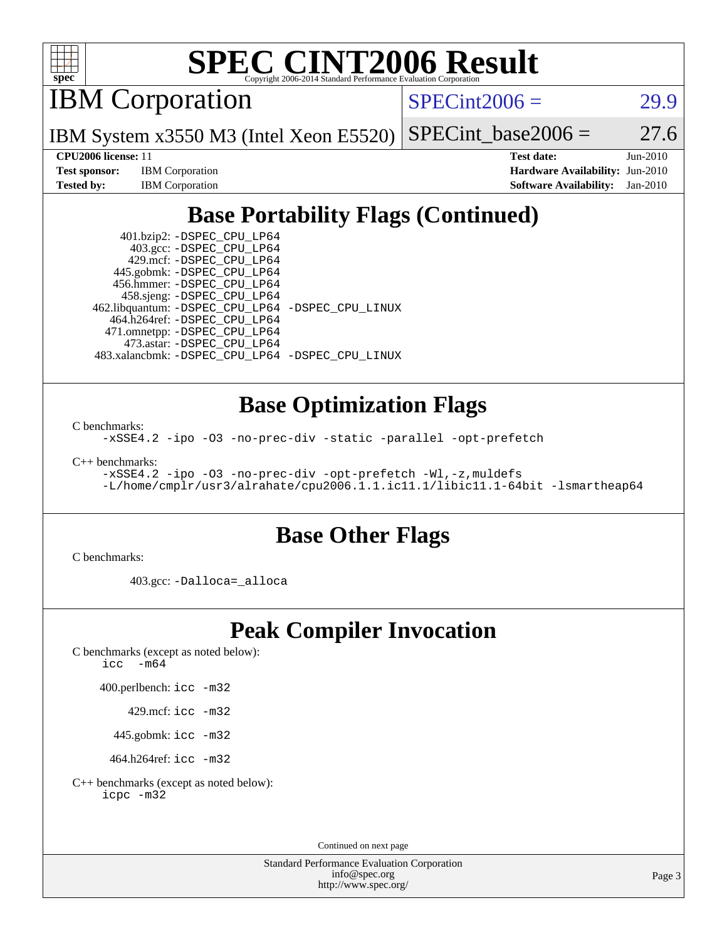

# **[SPEC CINT2006 Result](http://www.spec.org/auto/cpu2006/Docs/result-fields.html#SPECCINT2006Result)**

IBM Corporation

 $SPECint2006 = 29.9$  $SPECint2006 = 29.9$ 

IBM System x3550 M3 (Intel Xeon E5520)  $SPECTnt\_base2006 = 27.6$ 

**[Test sponsor:](http://www.spec.org/auto/cpu2006/Docs/result-fields.html#Testsponsor)** IBM Corporation **[Hardware Availability:](http://www.spec.org/auto/cpu2006/Docs/result-fields.html#HardwareAvailability)** Jun-2010

**[CPU2006 license:](http://www.spec.org/auto/cpu2006/Docs/result-fields.html#CPU2006license)** 11 **[Test date:](http://www.spec.org/auto/cpu2006/Docs/result-fields.html#Testdate)** Jun-2010 **[Tested by:](http://www.spec.org/auto/cpu2006/Docs/result-fields.html#Testedby)** IBM Corporation **[Software Availability:](http://www.spec.org/auto/cpu2006/Docs/result-fields.html#SoftwareAvailability)** Jan-2010

## **[Base Portability Flags \(Continued\)](http://www.spec.org/auto/cpu2006/Docs/result-fields.html#BasePortabilityFlags)**

 401.bzip2: [-DSPEC\\_CPU\\_LP64](http://www.spec.org/cpu2006/results/res2010q3/cpu2006-20100719-12529.flags.html#suite_basePORTABILITY401_bzip2_DSPEC_CPU_LP64) 403.gcc: [-DSPEC\\_CPU\\_LP64](http://www.spec.org/cpu2006/results/res2010q3/cpu2006-20100719-12529.flags.html#suite_basePORTABILITY403_gcc_DSPEC_CPU_LP64) 429.mcf: [-DSPEC\\_CPU\\_LP64](http://www.spec.org/cpu2006/results/res2010q3/cpu2006-20100719-12529.flags.html#suite_basePORTABILITY429_mcf_DSPEC_CPU_LP64) 445.gobmk: [-DSPEC\\_CPU\\_LP64](http://www.spec.org/cpu2006/results/res2010q3/cpu2006-20100719-12529.flags.html#suite_basePORTABILITY445_gobmk_DSPEC_CPU_LP64) 456.hmmer: [-DSPEC\\_CPU\\_LP64](http://www.spec.org/cpu2006/results/res2010q3/cpu2006-20100719-12529.flags.html#suite_basePORTABILITY456_hmmer_DSPEC_CPU_LP64) 458.sjeng: [-DSPEC\\_CPU\\_LP64](http://www.spec.org/cpu2006/results/res2010q3/cpu2006-20100719-12529.flags.html#suite_basePORTABILITY458_sjeng_DSPEC_CPU_LP64) 462.libquantum: [-DSPEC\\_CPU\\_LP64](http://www.spec.org/cpu2006/results/res2010q3/cpu2006-20100719-12529.flags.html#suite_basePORTABILITY462_libquantum_DSPEC_CPU_LP64) [-DSPEC\\_CPU\\_LINUX](http://www.spec.org/cpu2006/results/res2010q3/cpu2006-20100719-12529.flags.html#b462.libquantum_baseCPORTABILITY_DSPEC_CPU_LINUX) 464.h264ref: [-DSPEC\\_CPU\\_LP64](http://www.spec.org/cpu2006/results/res2010q3/cpu2006-20100719-12529.flags.html#suite_basePORTABILITY464_h264ref_DSPEC_CPU_LP64) 471.omnetpp: [-DSPEC\\_CPU\\_LP64](http://www.spec.org/cpu2006/results/res2010q3/cpu2006-20100719-12529.flags.html#suite_basePORTABILITY471_omnetpp_DSPEC_CPU_LP64) 473.astar: [-DSPEC\\_CPU\\_LP64](http://www.spec.org/cpu2006/results/res2010q3/cpu2006-20100719-12529.flags.html#suite_basePORTABILITY473_astar_DSPEC_CPU_LP64) 483.xalancbmk: [-DSPEC\\_CPU\\_LP64](http://www.spec.org/cpu2006/results/res2010q3/cpu2006-20100719-12529.flags.html#suite_basePORTABILITY483_xalancbmk_DSPEC_CPU_LP64) [-DSPEC\\_CPU\\_LINUX](http://www.spec.org/cpu2006/results/res2010q3/cpu2006-20100719-12529.flags.html#b483.xalancbmk_baseCXXPORTABILITY_DSPEC_CPU_LINUX)

### **[Base Optimization Flags](http://www.spec.org/auto/cpu2006/Docs/result-fields.html#BaseOptimizationFlags)**

[C benchmarks](http://www.spec.org/auto/cpu2006/Docs/result-fields.html#Cbenchmarks):

[-xSSE4.2](http://www.spec.org/cpu2006/results/res2010q3/cpu2006-20100719-12529.flags.html#user_CCbase_f-xSSE42_f91528193cf0b216347adb8b939d4107) [-ipo](http://www.spec.org/cpu2006/results/res2010q3/cpu2006-20100719-12529.flags.html#user_CCbase_f-ipo) [-O3](http://www.spec.org/cpu2006/results/res2010q3/cpu2006-20100719-12529.flags.html#user_CCbase_f-O3) [-no-prec-div](http://www.spec.org/cpu2006/results/res2010q3/cpu2006-20100719-12529.flags.html#user_CCbase_f-no-prec-div) [-static](http://www.spec.org/cpu2006/results/res2010q3/cpu2006-20100719-12529.flags.html#user_CCbase_f-static) [-parallel](http://www.spec.org/cpu2006/results/res2010q3/cpu2006-20100719-12529.flags.html#user_CCbase_f-parallel) [-opt-prefetch](http://www.spec.org/cpu2006/results/res2010q3/cpu2006-20100719-12529.flags.html#user_CCbase_f-opt-prefetch)

[C++ benchmarks:](http://www.spec.org/auto/cpu2006/Docs/result-fields.html#CXXbenchmarks)

[-xSSE4.2](http://www.spec.org/cpu2006/results/res2010q3/cpu2006-20100719-12529.flags.html#user_CXXbase_f-xSSE42_f91528193cf0b216347adb8b939d4107) [-ipo](http://www.spec.org/cpu2006/results/res2010q3/cpu2006-20100719-12529.flags.html#user_CXXbase_f-ipo) [-O3](http://www.spec.org/cpu2006/results/res2010q3/cpu2006-20100719-12529.flags.html#user_CXXbase_f-O3) [-no-prec-div](http://www.spec.org/cpu2006/results/res2010q3/cpu2006-20100719-12529.flags.html#user_CXXbase_f-no-prec-div) [-opt-prefetch](http://www.spec.org/cpu2006/results/res2010q3/cpu2006-20100719-12529.flags.html#user_CXXbase_f-opt-prefetch) [-Wl,-z,muldefs](http://www.spec.org/cpu2006/results/res2010q3/cpu2006-20100719-12529.flags.html#user_CXXbase_link_force_multiple1_74079c344b956b9658436fd1b6dd3a8a) [-L/home/cmplr/usr3/alrahate/cpu2006.1.1.ic11.1/libic11.1-64bit -lsmartheap64](http://www.spec.org/cpu2006/results/res2010q3/cpu2006-20100719-12529.flags.html#user_CXXbase_SmartHeap64_e2306cda84805d1ab360117a79ff779c)

### **[Base Other Flags](http://www.spec.org/auto/cpu2006/Docs/result-fields.html#BaseOtherFlags)**

[C benchmarks](http://www.spec.org/auto/cpu2006/Docs/result-fields.html#Cbenchmarks):

403.gcc: [-Dalloca=\\_alloca](http://www.spec.org/cpu2006/results/res2010q3/cpu2006-20100719-12529.flags.html#b403.gcc_baseEXTRA_CFLAGS_Dalloca_be3056838c12de2578596ca5467af7f3)

### **[Peak Compiler Invocation](http://www.spec.org/auto/cpu2006/Docs/result-fields.html#PeakCompilerInvocation)**

[C benchmarks \(except as noted below\)](http://www.spec.org/auto/cpu2006/Docs/result-fields.html#Cbenchmarksexceptasnotedbelow): [icc -m64](http://www.spec.org/cpu2006/results/res2010q3/cpu2006-20100719-12529.flags.html#user_CCpeak_intel_icc_64bit_f346026e86af2a669e726fe758c88044)

400.perlbench: [icc -m32](http://www.spec.org/cpu2006/results/res2010q3/cpu2006-20100719-12529.flags.html#user_peakCCLD400_perlbench_intel_icc_32bit_a6a621f8d50482236b970c6ac5f55f93)

429.mcf: [icc -m32](http://www.spec.org/cpu2006/results/res2010q3/cpu2006-20100719-12529.flags.html#user_peakCCLD429_mcf_intel_icc_32bit_a6a621f8d50482236b970c6ac5f55f93)

445.gobmk: [icc -m32](http://www.spec.org/cpu2006/results/res2010q3/cpu2006-20100719-12529.flags.html#user_peakCCLD445_gobmk_intel_icc_32bit_a6a621f8d50482236b970c6ac5f55f93)

464.h264ref: [icc -m32](http://www.spec.org/cpu2006/results/res2010q3/cpu2006-20100719-12529.flags.html#user_peakCCLD464_h264ref_intel_icc_32bit_a6a621f8d50482236b970c6ac5f55f93)

[C++ benchmarks \(except as noted below\):](http://www.spec.org/auto/cpu2006/Docs/result-fields.html#CXXbenchmarksexceptasnotedbelow) [icpc -m32](http://www.spec.org/cpu2006/results/res2010q3/cpu2006-20100719-12529.flags.html#user_CXXpeak_intel_icpc_32bit_4e5a5ef1a53fd332b3c49e69c3330699)

Continued on next page

Standard Performance Evaluation Corporation [info@spec.org](mailto:info@spec.org) <http://www.spec.org/>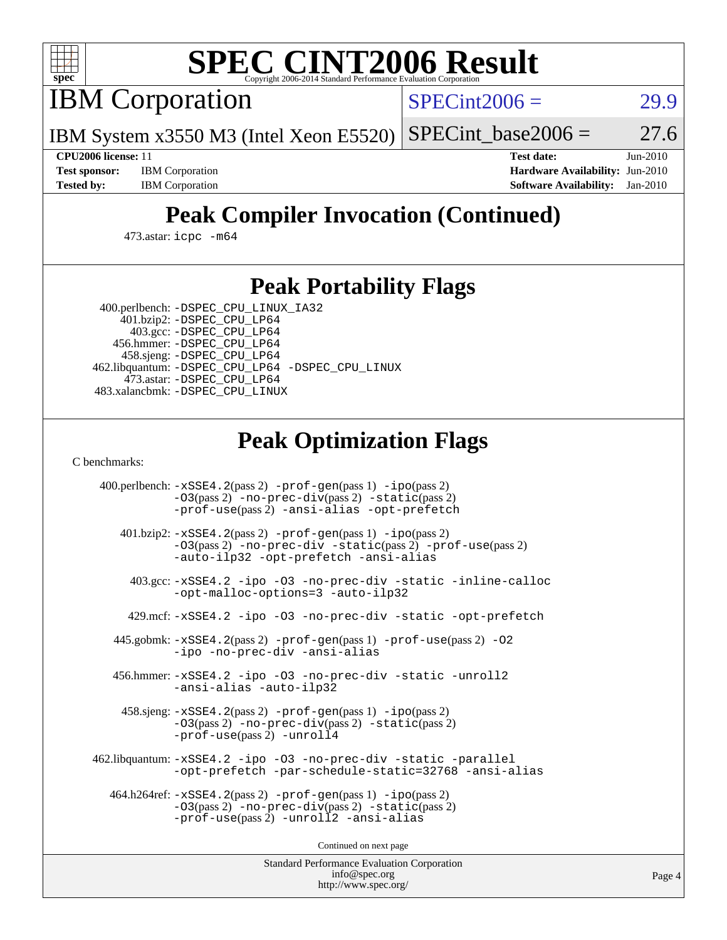

# **[SPEC CINT2006 Result](http://www.spec.org/auto/cpu2006/Docs/result-fields.html#SPECCINT2006Result)**

IBM Corporation

 $SPECint2006 = 29.9$  $SPECint2006 = 29.9$ 

IBM System x3550 M3 (Intel Xeon E5520)  $SPECTnt_base2006 = 27.6$ 

**[Test sponsor:](http://www.spec.org/auto/cpu2006/Docs/result-fields.html#Testsponsor)** IBM Corporation **[Hardware Availability:](http://www.spec.org/auto/cpu2006/Docs/result-fields.html#HardwareAvailability)** Jun-2010

**[CPU2006 license:](http://www.spec.org/auto/cpu2006/Docs/result-fields.html#CPU2006license)** 11 **[Test date:](http://www.spec.org/auto/cpu2006/Docs/result-fields.html#Testdate)** Jun-2010 **[Tested by:](http://www.spec.org/auto/cpu2006/Docs/result-fields.html#Testedby)** IBM Corporation **[Software Availability:](http://www.spec.org/auto/cpu2006/Docs/result-fields.html#SoftwareAvailability)** Jan-2010

# **[Peak Compiler Invocation \(Continued\)](http://www.spec.org/auto/cpu2006/Docs/result-fields.html#PeakCompilerInvocation)**

473.astar: [icpc -m64](http://www.spec.org/cpu2006/results/res2010q3/cpu2006-20100719-12529.flags.html#user_peakCXXLD473_astar_intel_icpc_64bit_fc66a5337ce925472a5c54ad6a0de310)

#### **[Peak Portability Flags](http://www.spec.org/auto/cpu2006/Docs/result-fields.html#PeakPortabilityFlags)**

 400.perlbench: [-DSPEC\\_CPU\\_LINUX\\_IA32](http://www.spec.org/cpu2006/results/res2010q3/cpu2006-20100719-12529.flags.html#b400.perlbench_peakCPORTABILITY_DSPEC_CPU_LINUX_IA32) 401.bzip2: [-DSPEC\\_CPU\\_LP64](http://www.spec.org/cpu2006/results/res2010q3/cpu2006-20100719-12529.flags.html#suite_peakPORTABILITY401_bzip2_DSPEC_CPU_LP64)

 403.gcc: [-DSPEC\\_CPU\\_LP64](http://www.spec.org/cpu2006/results/res2010q3/cpu2006-20100719-12529.flags.html#suite_peakPORTABILITY403_gcc_DSPEC_CPU_LP64) 456.hmmer: [-DSPEC\\_CPU\\_LP64](http://www.spec.org/cpu2006/results/res2010q3/cpu2006-20100719-12529.flags.html#suite_peakPORTABILITY456_hmmer_DSPEC_CPU_LP64) 458.sjeng: [-DSPEC\\_CPU\\_LP64](http://www.spec.org/cpu2006/results/res2010q3/cpu2006-20100719-12529.flags.html#suite_peakPORTABILITY458_sjeng_DSPEC_CPU_LP64) 462.libquantum: [-DSPEC\\_CPU\\_LP64](http://www.spec.org/cpu2006/results/res2010q3/cpu2006-20100719-12529.flags.html#suite_peakPORTABILITY462_libquantum_DSPEC_CPU_LP64) [-DSPEC\\_CPU\\_LINUX](http://www.spec.org/cpu2006/results/res2010q3/cpu2006-20100719-12529.flags.html#b462.libquantum_peakCPORTABILITY_DSPEC_CPU_LINUX) 473.astar: [-DSPEC\\_CPU\\_LP64](http://www.spec.org/cpu2006/results/res2010q3/cpu2006-20100719-12529.flags.html#suite_peakPORTABILITY473_astar_DSPEC_CPU_LP64) 483.xalancbmk: [-DSPEC\\_CPU\\_LINUX](http://www.spec.org/cpu2006/results/res2010q3/cpu2006-20100719-12529.flags.html#b483.xalancbmk_peakCXXPORTABILITY_DSPEC_CPU_LINUX)

## **[Peak Optimization Flags](http://www.spec.org/auto/cpu2006/Docs/result-fields.html#PeakOptimizationFlags)**

[C benchmarks](http://www.spec.org/auto/cpu2006/Docs/result-fields.html#Cbenchmarks):

 400.perlbench: [-xSSE4.2](http://www.spec.org/cpu2006/results/res2010q3/cpu2006-20100719-12529.flags.html#user_peakPASS2_CFLAGSPASS2_LDCFLAGS400_perlbench_f-xSSE42_f91528193cf0b216347adb8b939d4107)(pass 2) [-prof-gen](http://www.spec.org/cpu2006/results/res2010q3/cpu2006-20100719-12529.flags.html#user_peakPASS1_CFLAGSPASS1_LDCFLAGS400_perlbench_prof_gen_e43856698f6ca7b7e442dfd80e94a8fc)(pass 1) [-ipo](http://www.spec.org/cpu2006/results/res2010q3/cpu2006-20100719-12529.flags.html#user_peakPASS2_CFLAGSPASS2_LDCFLAGS400_perlbench_f-ipo)(pass 2) [-O3](http://www.spec.org/cpu2006/results/res2010q3/cpu2006-20100719-12529.flags.html#user_peakPASS2_CFLAGSPASS2_LDCFLAGS400_perlbench_f-O3)(pass 2) [-no-prec-div](http://www.spec.org/cpu2006/results/res2010q3/cpu2006-20100719-12529.flags.html#user_peakPASS2_CFLAGSPASS2_LDCFLAGS400_perlbench_f-no-prec-div)(pass 2) [-static](http://www.spec.org/cpu2006/results/res2010q3/cpu2006-20100719-12529.flags.html#user_peakPASS2_CFLAGSPASS2_LDCFLAGS400_perlbench_f-static)(pass 2) [-prof-use](http://www.spec.org/cpu2006/results/res2010q3/cpu2006-20100719-12529.flags.html#user_peakPASS2_CFLAGSPASS2_LDCFLAGS400_perlbench_prof_use_bccf7792157ff70d64e32fe3e1250b55)(pass 2) [-ansi-alias](http://www.spec.org/cpu2006/results/res2010q3/cpu2006-20100719-12529.flags.html#user_peakCOPTIMIZE400_perlbench_f-ansi-alias) [-opt-prefetch](http://www.spec.org/cpu2006/results/res2010q3/cpu2006-20100719-12529.flags.html#user_peakCOPTIMIZE400_perlbench_f-opt-prefetch) 401.bzip2: [-xSSE4.2](http://www.spec.org/cpu2006/results/res2010q3/cpu2006-20100719-12529.flags.html#user_peakPASS2_CFLAGSPASS2_LDCFLAGS401_bzip2_f-xSSE42_f91528193cf0b216347adb8b939d4107)(pass 2) [-prof-gen](http://www.spec.org/cpu2006/results/res2010q3/cpu2006-20100719-12529.flags.html#user_peakPASS1_CFLAGSPASS1_LDCFLAGS401_bzip2_prof_gen_e43856698f6ca7b7e442dfd80e94a8fc)(pass 1) [-ipo](http://www.spec.org/cpu2006/results/res2010q3/cpu2006-20100719-12529.flags.html#user_peakPASS2_CFLAGSPASS2_LDCFLAGS401_bzip2_f-ipo)(pass 2) [-O3](http://www.spec.org/cpu2006/results/res2010q3/cpu2006-20100719-12529.flags.html#user_peakPASS2_CFLAGSPASS2_LDCFLAGS401_bzip2_f-O3)(pass 2) [-no-prec-div](http://www.spec.org/cpu2006/results/res2010q3/cpu2006-20100719-12529.flags.html#user_peakCOPTIMIZEPASS2_CFLAGSPASS2_LDCFLAGS401_bzip2_f-no-prec-div) [-static](http://www.spec.org/cpu2006/results/res2010q3/cpu2006-20100719-12529.flags.html#user_peakPASS2_CFLAGSPASS2_LDCFLAGS401_bzip2_f-static)(pass 2) [-prof-use](http://www.spec.org/cpu2006/results/res2010q3/cpu2006-20100719-12529.flags.html#user_peakPASS2_CFLAGSPASS2_LDCFLAGS401_bzip2_prof_use_bccf7792157ff70d64e32fe3e1250b55)(pass 2) [-auto-ilp32](http://www.spec.org/cpu2006/results/res2010q3/cpu2006-20100719-12529.flags.html#user_peakCOPTIMIZE401_bzip2_f-auto-ilp32) [-opt-prefetch](http://www.spec.org/cpu2006/results/res2010q3/cpu2006-20100719-12529.flags.html#user_peakCOPTIMIZE401_bzip2_f-opt-prefetch) [-ansi-alias](http://www.spec.org/cpu2006/results/res2010q3/cpu2006-20100719-12529.flags.html#user_peakCOPTIMIZE401_bzip2_f-ansi-alias) 403.gcc: [-xSSE4.2](http://www.spec.org/cpu2006/results/res2010q3/cpu2006-20100719-12529.flags.html#user_peakCOPTIMIZE403_gcc_f-xSSE42_f91528193cf0b216347adb8b939d4107) [-ipo](http://www.spec.org/cpu2006/results/res2010q3/cpu2006-20100719-12529.flags.html#user_peakCOPTIMIZE403_gcc_f-ipo) [-O3](http://www.spec.org/cpu2006/results/res2010q3/cpu2006-20100719-12529.flags.html#user_peakCOPTIMIZE403_gcc_f-O3) [-no-prec-div](http://www.spec.org/cpu2006/results/res2010q3/cpu2006-20100719-12529.flags.html#user_peakCOPTIMIZE403_gcc_f-no-prec-div) [-static](http://www.spec.org/cpu2006/results/res2010q3/cpu2006-20100719-12529.flags.html#user_peakCOPTIMIZE403_gcc_f-static) [-inline-calloc](http://www.spec.org/cpu2006/results/res2010q3/cpu2006-20100719-12529.flags.html#user_peakCOPTIMIZE403_gcc_f-inline-calloc) [-opt-malloc-options=3](http://www.spec.org/cpu2006/results/res2010q3/cpu2006-20100719-12529.flags.html#user_peakCOPTIMIZE403_gcc_f-opt-malloc-options_13ab9b803cf986b4ee62f0a5998c2238) [-auto-ilp32](http://www.spec.org/cpu2006/results/res2010q3/cpu2006-20100719-12529.flags.html#user_peakCOPTIMIZE403_gcc_f-auto-ilp32) 429.mcf: [-xSSE4.2](http://www.spec.org/cpu2006/results/res2010q3/cpu2006-20100719-12529.flags.html#user_peakCOPTIMIZE429_mcf_f-xSSE42_f91528193cf0b216347adb8b939d4107) [-ipo](http://www.spec.org/cpu2006/results/res2010q3/cpu2006-20100719-12529.flags.html#user_peakCOPTIMIZE429_mcf_f-ipo) [-O3](http://www.spec.org/cpu2006/results/res2010q3/cpu2006-20100719-12529.flags.html#user_peakCOPTIMIZE429_mcf_f-O3) [-no-prec-div](http://www.spec.org/cpu2006/results/res2010q3/cpu2006-20100719-12529.flags.html#user_peakCOPTIMIZE429_mcf_f-no-prec-div) [-static](http://www.spec.org/cpu2006/results/res2010q3/cpu2006-20100719-12529.flags.html#user_peakCOPTIMIZE429_mcf_f-static) [-opt-prefetch](http://www.spec.org/cpu2006/results/res2010q3/cpu2006-20100719-12529.flags.html#user_peakCOPTIMIZE429_mcf_f-opt-prefetch) 445.gobmk: [-xSSE4.2](http://www.spec.org/cpu2006/results/res2010q3/cpu2006-20100719-12529.flags.html#user_peakPASS2_CFLAGSPASS2_LDCFLAGS445_gobmk_f-xSSE42_f91528193cf0b216347adb8b939d4107)(pass 2) [-prof-gen](http://www.spec.org/cpu2006/results/res2010q3/cpu2006-20100719-12529.flags.html#user_peakPASS1_CFLAGSPASS1_LDCFLAGS445_gobmk_prof_gen_e43856698f6ca7b7e442dfd80e94a8fc)(pass 1) [-prof-use](http://www.spec.org/cpu2006/results/res2010q3/cpu2006-20100719-12529.flags.html#user_peakPASS2_CFLAGSPASS2_LDCFLAGS445_gobmk_prof_use_bccf7792157ff70d64e32fe3e1250b55)(pass 2) [-O2](http://www.spec.org/cpu2006/results/res2010q3/cpu2006-20100719-12529.flags.html#user_peakCOPTIMIZE445_gobmk_f-O2) [-ipo](http://www.spec.org/cpu2006/results/res2010q3/cpu2006-20100719-12529.flags.html#user_peakCOPTIMIZE445_gobmk_f-ipo) [-no-prec-div](http://www.spec.org/cpu2006/results/res2010q3/cpu2006-20100719-12529.flags.html#user_peakCOPTIMIZE445_gobmk_f-no-prec-div) [-ansi-alias](http://www.spec.org/cpu2006/results/res2010q3/cpu2006-20100719-12529.flags.html#user_peakCOPTIMIZE445_gobmk_f-ansi-alias) 456.hmmer: [-xSSE4.2](http://www.spec.org/cpu2006/results/res2010q3/cpu2006-20100719-12529.flags.html#user_peakCOPTIMIZE456_hmmer_f-xSSE42_f91528193cf0b216347adb8b939d4107) [-ipo](http://www.spec.org/cpu2006/results/res2010q3/cpu2006-20100719-12529.flags.html#user_peakCOPTIMIZE456_hmmer_f-ipo) [-O3](http://www.spec.org/cpu2006/results/res2010q3/cpu2006-20100719-12529.flags.html#user_peakCOPTIMIZE456_hmmer_f-O3) [-no-prec-div](http://www.spec.org/cpu2006/results/res2010q3/cpu2006-20100719-12529.flags.html#user_peakCOPTIMIZE456_hmmer_f-no-prec-div) [-static](http://www.spec.org/cpu2006/results/res2010q3/cpu2006-20100719-12529.flags.html#user_peakCOPTIMIZE456_hmmer_f-static) [-unroll2](http://www.spec.org/cpu2006/results/res2010q3/cpu2006-20100719-12529.flags.html#user_peakCOPTIMIZE456_hmmer_f-unroll_784dae83bebfb236979b41d2422d7ec2) [-ansi-alias](http://www.spec.org/cpu2006/results/res2010q3/cpu2006-20100719-12529.flags.html#user_peakCOPTIMIZE456_hmmer_f-ansi-alias) [-auto-ilp32](http://www.spec.org/cpu2006/results/res2010q3/cpu2006-20100719-12529.flags.html#user_peakCOPTIMIZE456_hmmer_f-auto-ilp32) 458.sjeng: [-xSSE4.2](http://www.spec.org/cpu2006/results/res2010q3/cpu2006-20100719-12529.flags.html#user_peakPASS2_CFLAGSPASS2_LDCFLAGS458_sjeng_f-xSSE42_f91528193cf0b216347adb8b939d4107)(pass 2) [-prof-gen](http://www.spec.org/cpu2006/results/res2010q3/cpu2006-20100719-12529.flags.html#user_peakPASS1_CFLAGSPASS1_LDCFLAGS458_sjeng_prof_gen_e43856698f6ca7b7e442dfd80e94a8fc)(pass 1) [-ipo](http://www.spec.org/cpu2006/results/res2010q3/cpu2006-20100719-12529.flags.html#user_peakPASS2_CFLAGSPASS2_LDCFLAGS458_sjeng_f-ipo)(pass 2) [-O3](http://www.spec.org/cpu2006/results/res2010q3/cpu2006-20100719-12529.flags.html#user_peakPASS2_CFLAGSPASS2_LDCFLAGS458_sjeng_f-O3)(pass 2) [-no-prec-div](http://www.spec.org/cpu2006/results/res2010q3/cpu2006-20100719-12529.flags.html#user_peakPASS2_CFLAGSPASS2_LDCFLAGS458_sjeng_f-no-prec-div)(pass 2) [-static](http://www.spec.org/cpu2006/results/res2010q3/cpu2006-20100719-12529.flags.html#user_peakPASS2_CFLAGSPASS2_LDCFLAGS458_sjeng_f-static)(pass 2) [-prof-use](http://www.spec.org/cpu2006/results/res2010q3/cpu2006-20100719-12529.flags.html#user_peakPASS2_CFLAGSPASS2_LDCFLAGS458_sjeng_prof_use_bccf7792157ff70d64e32fe3e1250b55)(pass 2) [-unroll4](http://www.spec.org/cpu2006/results/res2010q3/cpu2006-20100719-12529.flags.html#user_peakCOPTIMIZE458_sjeng_f-unroll_4e5e4ed65b7fd20bdcd365bec371b81f) 462.libquantum: [-xSSE4.2](http://www.spec.org/cpu2006/results/res2010q3/cpu2006-20100719-12529.flags.html#user_peakCOPTIMIZE462_libquantum_f-xSSE42_f91528193cf0b216347adb8b939d4107) [-ipo](http://www.spec.org/cpu2006/results/res2010q3/cpu2006-20100719-12529.flags.html#user_peakCOPTIMIZE462_libquantum_f-ipo) [-O3](http://www.spec.org/cpu2006/results/res2010q3/cpu2006-20100719-12529.flags.html#user_peakCOPTIMIZE462_libquantum_f-O3) [-no-prec-div](http://www.spec.org/cpu2006/results/res2010q3/cpu2006-20100719-12529.flags.html#user_peakCOPTIMIZE462_libquantum_f-no-prec-div) [-static](http://www.spec.org/cpu2006/results/res2010q3/cpu2006-20100719-12529.flags.html#user_peakCOPTIMIZE462_libquantum_f-static) [-parallel](http://www.spec.org/cpu2006/results/res2010q3/cpu2006-20100719-12529.flags.html#user_peakCOPTIMIZE462_libquantum_f-parallel) [-opt-prefetch](http://www.spec.org/cpu2006/results/res2010q3/cpu2006-20100719-12529.flags.html#user_peakCOPTIMIZE462_libquantum_f-opt-prefetch) [-par-schedule-static=32768](http://www.spec.org/cpu2006/results/res2010q3/cpu2006-20100719-12529.flags.html#user_peakCOPTIMIZE462_libquantum_f-par-schedule_9386bcd99ba64e99ee01d1aafefddd14) [-ansi-alias](http://www.spec.org/cpu2006/results/res2010q3/cpu2006-20100719-12529.flags.html#user_peakCOPTIMIZE462_libquantum_f-ansi-alias) 464.h264ref: [-xSSE4.2](http://www.spec.org/cpu2006/results/res2010q3/cpu2006-20100719-12529.flags.html#user_peakPASS2_CFLAGSPASS2_LDCFLAGS464_h264ref_f-xSSE42_f91528193cf0b216347adb8b939d4107)(pass 2) [-prof-gen](http://www.spec.org/cpu2006/results/res2010q3/cpu2006-20100719-12529.flags.html#user_peakPASS1_CFLAGSPASS1_LDCFLAGS464_h264ref_prof_gen_e43856698f6ca7b7e442dfd80e94a8fc)(pass 1) [-ipo](http://www.spec.org/cpu2006/results/res2010q3/cpu2006-20100719-12529.flags.html#user_peakPASS2_CFLAGSPASS2_LDCFLAGS464_h264ref_f-ipo)(pass 2) [-O3](http://www.spec.org/cpu2006/results/res2010q3/cpu2006-20100719-12529.flags.html#user_peakPASS2_CFLAGSPASS2_LDCFLAGS464_h264ref_f-O3)(pass 2) [-no-prec-div](http://www.spec.org/cpu2006/results/res2010q3/cpu2006-20100719-12529.flags.html#user_peakPASS2_CFLAGSPASS2_LDCFLAGS464_h264ref_f-no-prec-div)(pass 2) [-static](http://www.spec.org/cpu2006/results/res2010q3/cpu2006-20100719-12529.flags.html#user_peakPASS2_CFLAGSPASS2_LDCFLAGS464_h264ref_f-static)(pass 2) [-prof-use](http://www.spec.org/cpu2006/results/res2010q3/cpu2006-20100719-12529.flags.html#user_peakPASS2_CFLAGSPASS2_LDCFLAGS464_h264ref_prof_use_bccf7792157ff70d64e32fe3e1250b55)(pass 2) [-unroll2](http://www.spec.org/cpu2006/results/res2010q3/cpu2006-20100719-12529.flags.html#user_peakCOPTIMIZE464_h264ref_f-unroll_784dae83bebfb236979b41d2422d7ec2) [-ansi-alias](http://www.spec.org/cpu2006/results/res2010q3/cpu2006-20100719-12529.flags.html#user_peakCOPTIMIZE464_h264ref_f-ansi-alias)

Continued on next page

Standard Performance Evaluation Corporation [info@spec.org](mailto:info@spec.org) <http://www.spec.org/>